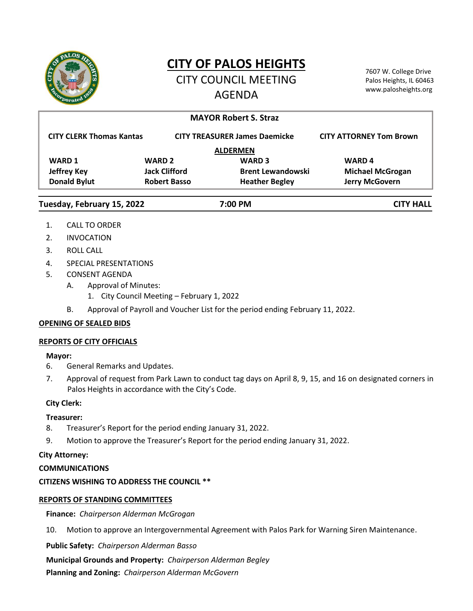

# **CITY OF PALOS HEIGHTS**

CITY COUNCIL MEETING AGENDA

7607 W. College Drive Palos Heights, IL 60463 www.palosheights.org

|                                 |                      |                                      | <b>MAYOR Robert S. Straz</b> |                                |
|---------------------------------|----------------------|--------------------------------------|------------------------------|--------------------------------|
| <b>CITY CLERK Thomas Kantas</b> |                      | <b>CITY TREASURER James Daemicke</b> |                              | <b>CITY ATTORNEY Tom Brown</b> |
|                                 |                      |                                      | <b>ALDERMEN</b>              |                                |
| <b>WARD 1</b>                   | <b>WARD 2</b>        |                                      | <b>WARD 3</b>                | <b>WARD4</b>                   |
| <b>Jeffrey Key</b>              | <b>Jack Clifford</b> |                                      | <b>Brent Lewandowski</b>     | <b>Michael McGrogan</b>        |
| <b>Donald Bylut</b>             | <b>Robert Basso</b>  |                                      | <b>Heather Begley</b>        | Jerry McGovern                 |
| Tuesday, February 15, 2022      |                      |                                      | 7:00 PM                      | <b>CITY HALL</b>               |

- 1. CALL TO ORDER
- 2. INVOCATION
- 3. ROLL CALL
- 4. SPECIAL PRESENTATIONS
- 5. CONSENT AGENDA
	- A. Approval of Minutes:
		- 1. City Council Meeting February 1, 2022
	- B. Approval of Payroll and Voucher List for the period ending February 11, 2022.

# **OPENING OF SEALED BIDS**

### **REPORTS OF CITY OFFICIALS**

# **Mayor:**

- 6. General Remarks and Updates.
- 7. Approval of request from Park Lawn to conduct tag days on April 8, 9, 15, and 16 on designated corners in Palos Heights in accordance with the City's Code.

# **City Clerk:**

# **Treasurer:**

- 8. Treasurer's Report for the period ending January 31, 2022.
- 9. Motion to approve the Treasurer's Report for the period ending January 31, 2022.

# **City Attorney:**

# **COMMUNICATIONS**

# **CITIZENS WISHING TO ADDRESS THE COUNCIL \*\***

# **REPORTS OF STANDING COMMITTEES**

**Finance:** *Chairperson Alderman McGrogan*

10. Motion to approve an Intergovernmental Agreement with Palos Park for Warning Siren Maintenance.

**Public Safety:** *Chairperson Alderman Basso*

**Municipal Grounds and Property:** *Chairperson Alderman Begley*

**Planning and Zoning:** *Chairperson Alderman McGovern*